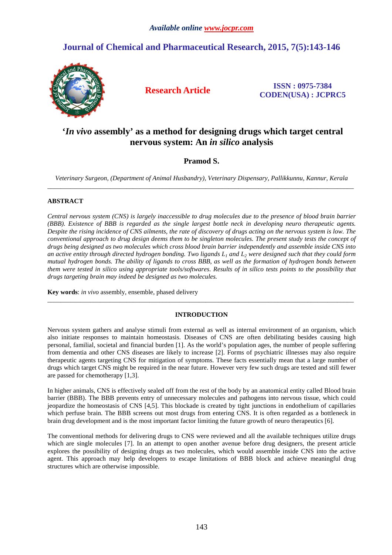# **Journal of Chemical and Pharmaceutical Research, 2015, 7(5):143-146**



**Research Article ISSN : 0975-7384 CODEN(USA) : JCPRC5**

## **'***In vivo* **assembly' as a method for designing drugs which target central nervous system: An** *in silico* **analysis**

## **Pramod S.**

*Veterinary Surgeon, (Department of Animal Husbandry), Veterinary Dispensary, Pallikkunnu, Kannur, Kerala*  \_\_\_\_\_\_\_\_\_\_\_\_\_\_\_\_\_\_\_\_\_\_\_\_\_\_\_\_\_\_\_\_\_\_\_\_\_\_\_\_\_\_\_\_\_\_\_\_\_\_\_\_\_\_\_\_\_\_\_\_\_\_\_\_\_\_\_\_\_\_\_\_\_\_\_\_\_\_\_\_\_\_\_\_\_\_\_\_\_\_\_\_\_

### **ABSTRACT**

*Central nervous system (CNS) is largely inaccessible to drug molecules due to the presence of blood brain barrier (BBB). Existence of BBB is regarded as the single largest bottle neck in developing neuro therapeutic agents. Despite the rising incidence of CNS ailments, the rate of discovery of drugs acting on the nervous system is low. The conventional approach to drug design deems them to be singleton molecules. The present study tests the concept of drugs being designed as two molecules which cross blood brain barrier independently and assemble inside CNS into an active entity through directed hydrogen bonding. Two ligands L1 and L2 were designed such that they could form mutual hydrogen bonds. The ability of ligands to cross BBB, as well as the formation of hydrogen bonds between them were tested in silico using appropriate tools/softwares. Results of in silico tests points to the possibility that drugs targeting brain may indeed be designed as two molecules.* 

**Key words**: *in vivo* assembly, ensemble, phased delivery

### **INTRODUCTION**

\_\_\_\_\_\_\_\_\_\_\_\_\_\_\_\_\_\_\_\_\_\_\_\_\_\_\_\_\_\_\_\_\_\_\_\_\_\_\_\_\_\_\_\_\_\_\_\_\_\_\_\_\_\_\_\_\_\_\_\_\_\_\_\_\_\_\_\_\_\_\_\_\_\_\_\_\_\_\_\_\_\_\_\_\_\_\_\_\_\_\_\_\_

Nervous system gathers and analyse stimuli from external as well as internal environment of an organism, which also initiate responses to maintain homeostasis. Diseases of CNS are often debilitating besides causing high personal, familial, societal and financial burden [1]. As the world's population ages, the number of people suffering from dementia and other CNS diseases are likely to increase [2]. Forms of psychiatric illnesses may also require therapeutic agents targeting CNS for mitigation of symptoms. These facts essentially mean that a large number of drugs which target CNS might be required in the near future. However very few such drugs are tested and still fewer are passed for chemotherapy [1,3].

In higher animals, CNS is effectively sealed off from the rest of the body by an anatomical entity called Blood brain barrier (BBB). The BBB prevents entry of unnecessary molecules and pathogens into nervous tissue, which could jeopardize the homeostasis of CNS [4,5]. This blockade is created by tight junctions in endothelium of capillaries which perfuse brain. The BBB screens out most drugs from entering CNS. It is often regarded as a bottleneck in brain drug development and is the most important factor limiting the future growth of neuro therapeutics [6].

The conventional methods for delivering drugs to CNS were reviewed and all the available techniques utilize drugs which are single molecules [7]. In an attempt to open another avenue before drug designers, the present article explores the possibility of designing drugs as two molecules, which would assemble inside CNS into the active agent. This approach may help developers to escape limitations of BBB block and achieve meaningful drug structures which are otherwise impossible.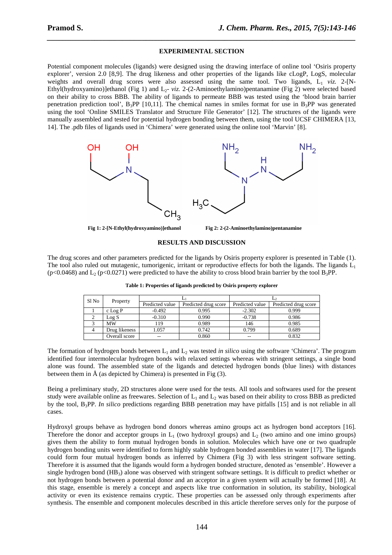### **EXPERIMENTAL SECTION**

*\_\_\_\_\_\_\_\_\_\_\_\_\_\_\_\_\_\_\_\_\_\_\_\_\_\_\_\_\_\_\_\_\_\_\_\_\_\_\_\_\_\_\_\_\_\_\_\_\_\_\_\_\_\_\_\_\_\_\_\_\_\_\_\_\_\_\_\_\_\_\_\_\_\_\_\_\_\_*

Potential component molecules (ligands) were designed using the drawing interface of online tool 'Osiris property explorer', version 2.0 [8,9]. The drug likeness and other properties of the ligands like cLogP, LogS, molecular weights and overall drug scores were also assessed using the same tool. Two ligands,  $L_1$  *viz.* 2-[N-Ethyl(hydroxyamino)]ethanol (Fig 1) and L2- *viz.* 2-(2-Aminoethylamino)pentanamine (Fig 2) were selected based on their ability to cross BBB. The ability of ligands to permeate BBB was tested using the 'blood brain barrier penetration prediction tool',  $B_3PP$  [10,11]. The chemical names in smiles format for use in  $B_3PP$  was generated using the tool 'Online SMILES Translator and Structure File Generator' [12]. The structures of the ligands were manually assembled and tested for potential hydrogen bonding between them, using the tool UCSF CHIMERA [13, 14]. The .pdb files of ligands used in 'Chimera' were generated using the online tool 'Marvin' [8].



### **Fig 1: 2-[N-Ethyl(hydroxyamino)]ethanol Fig 2: 2-(2-Aminoethylamino)pentanamine**

### **RESULTS AND DISCUSSION**

The drug scores and other parameters predicted for the ligands by Osiris property explorer is presented in Table (1). The tool also ruled out mutagenic, tumorigenic, irritant or reproductive effects for both the ligands. The ligands  $L_1$  $(p<0.0468)$  and L<sub>2</sub> (p<0.0271) were predicted to have the ability to cross blood brain barrier by the tool B<sub>3</sub>PP.

| Sl No | Property      |                 |                      |                 |                      |
|-------|---------------|-----------------|----------------------|-----------------|----------------------|
|       |               | Predicted value | Predicted drug score | Predicted value | Predicted drug score |
|       | $c$ Log P     | $-0.492$        | 0.995                | $-2.302$        | 0.999                |
|       | Log S         | $-0.310$        | 0.990                | $-0.738$        | 0.986                |
|       | <b>MW</b>     | 119             | 0.989                | 146             | 0.985                |
|       | Drug likeness | 1.057           | 0.742                | 0.799           | 0.689                |
|       | Overall score | --              | 0.860                | $-$             | 0.832                |

**Table 1: Properties of ligands predicted by Osiris property explorer** 

The formation of hydrogen bonds between  $L_1$  and  $L_2$  was tested *in silico* using the software 'Chimera'. The program identified four intermolecular hydrogen bonds with relaxed settings whereas with stringent settings, a single bond alone was found. The assembled state of the ligands and detected hydrogen bonds (blue lines) with distances between them in  $\hat{A}$  (as depicted by Chimera) is presented in Fig (3).

Being a preliminary study, 2D structures alone were used for the tests. All tools and softwares used for the present study were available online as freewares. Selection of  $L_1$  and  $L_2$  was based on their ability to cross BBB as predicted by the tool, B3PP. *In silico* predictions regarding BBB penetration may have pitfalls [15] and is not reliable in all cases.

Hydroxyl groups behave as hydrogen bond donors whereas amino groups act as hydrogen bond acceptors [16]. Therefore the donor and acceptor groups in  $L_1$  (two hydroxyl groups) and  $L_2$  (two amino and one imino groups) gives them the ability to form mutual hydrogen bonds in solution. Molecules which have one or two quadruple hydrogen bonding units were identified to form highly stable hydrogen bonded assemblies in water [17]. The ligands could form four mutual hydrogen bonds as inferred by Chimera (Fig 3) with less stringent software setting. Therefore it is assumed that the ligands would form a hydrogen bonded structure, denoted as 'ensemble'. However a single hydrogen bond (HB<sub>3</sub>) alone was observed with stringent software settings. It is difficult to predict whether or not hydrogen bonds between a potential donor and an acceptor in a given system will actually be formed [18]. At this stage, ensemble is merely a concept and aspects like true conformation in solution, its stability, biological activity or even its existence remains cryptic. These properties can be assessed only through experiments after synthesis. The ensemble and component molecules described in this article therefore serves only for the purpose of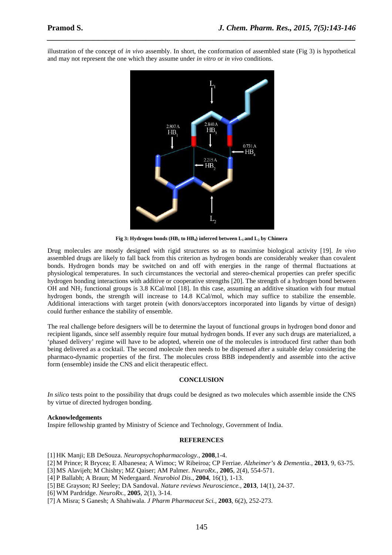illustration of the concept of *in vivo* assembly. In short, the conformation of assembled state (Fig 3) is hypothetical and may not represent the one which they assume under *in vitro* or *in vivo* conditions.

*\_\_\_\_\_\_\_\_\_\_\_\_\_\_\_\_\_\_\_\_\_\_\_\_\_\_\_\_\_\_\_\_\_\_\_\_\_\_\_\_\_\_\_\_\_\_\_\_\_\_\_\_\_\_\_\_\_\_\_\_\_\_\_\_\_\_\_\_\_\_\_\_\_\_\_\_\_\_*



**Fig 3: Hydrogen bonds (HB1 to HB4) inferred between L1 and L2 by Chimera** 

Drug molecules are mostly designed with rigid structures so as to maximise biological activity [19]. *In vivo* assembled drugs are likely to fall back from this criterion as hydrogen bonds are considerably weaker than covalent bonds. Hydrogen bonds may be switched on and off with energies in the range of thermal fluctuations at physiological temperatures. In such circumstances the vectorial and stereo-chemical properties can prefer specific hydrogen bonding interactions with additive or cooperative strengths [20]. The strength of a hydrogen bond between OH and NH2 functional groups is 3.8 KCal/mol [18]. In this case, assuming an additive situation with four mutual hydrogen bonds, the strength will increase to 14.8 KCal/mol, which may suffice to stabilize the ensemble. Additional interactions with target protein (with donors/acceptors incorporated into ligands by virtue of design) could further enhance the stability of ensemble.

The real challenge before designers will be to determine the layout of functional groups in hydrogen bond donor and recipient ligands, since self assembly require four mutual hydrogen bonds. If ever any such drugs are materialized, a 'phased delivery' regime will have to be adopted, wherein one of the molecules is introduced first rather than both being delivered as a cocktail. The second molecule then needs to be dispensed after a suitable delay considering the pharmaco-dynamic properties of the first. The molecules cross BBB independently and assemble into the active form (ensemble) inside the CNS and elicit therapeutic effect.

### **CONCLUSION**

*In silico* tests point to the possibility that drugs could be designed as two molecules which assemble inside the CNS by virtue of directed hydrogen bonding.

### **Acknowledgements**

Inspire fellowship granted by Ministry of Science and Technology, Government of India.

### **REFERENCES**

- [1] HK Manji; EB DeSouza. *Neuropsychopharmacology.,* **2008**,1-4.
- [2] M Prince; R Brycea; E Albanesea; A Wimoc; W Ribeiroa; CP Ferriae. *Alzheimer's & Dementia.,* **2013**, 9, 63-75.
- [3] MS Alavijeh; M Chishty; MZ Qaiser; AM Palmer. *NeuroRx.,* **2005**, 2(4), 554-571.
- [4] P Ballabh; A Braun; M Nedergaard. *Neurobiol Dis*., **2004**, 16(1), 1-13.

[5] BE Grayson; RJ Seeley; DA Sandoval. *Nature reviews Neuroscience.,* **2013**, 14(1), 24-37.

[6] WM Pardridge. *NeuroRx.,* **2005**, 2(1), 3-14.

[7] A Misra; S Ganesh; A Shahiwala. *J Pharm Pharmaceut Sci.,* **2003**, 6(2), 252-273.